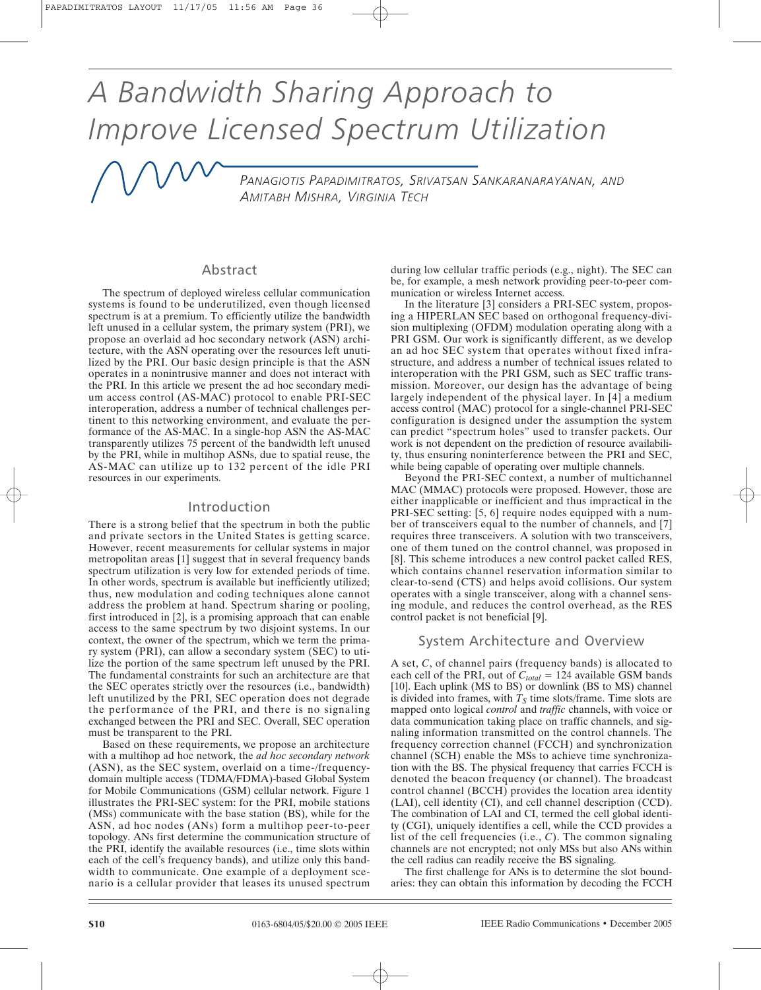# *A Bandwidth Sharing Approach to Improve Licensed Spectrum Utilization*

*PANAGIOTIS PAPADIMITRATOS, SRIVATSAN SANKARANARAYANAN, AND AMITABH MISHRA, VIRGINIA TECH*

## Abstract

The spectrum of deployed wireless cellular communication systems is found to be underutilized, even though licensed spectrum is at a premium. To efficiently utilize the bandwidth left unused in a cellular system, the primary system (PRI), we propose an overlaid ad hoc secondary network (ASN) architecture, with the ASN operating over the resources left unutilized by the PRI. Our basic design principle is that the ASN operates in a nonintrusive manner and does not interact with the PRI. In this article we present the ad hoc secondary medium access control (AS-MAC) protocol to enable PRI-SEC interoperation, address a number of technical challenges pertinent to this networking environment, and evaluate the performance of the AS-MAC. In a single-hop ASN the AS-MAC transparently utilizes 75 percent of the bandwidth left unused by the PRI, while in multihop ASNs, due to spatial reuse, the AS-MAC can utilize up to 132 percent of the idle PRI resources in our experiments.

#### Introduction

There is a strong belief that the spectrum in both the public and private sectors in the United States is getting scarce. However, recent measurements for cellular systems in major metropolitan areas [1] suggest that in several frequency bands spectrum utilization is very low for extended periods of time. In other words, spectrum is available but inefficiently utilized; thus, new modulation and coding techniques alone cannot address the problem at hand. Spectrum sharing or pooling, first introduced in [2], is a promising approach that can enable access to the same spectrum by two disjoint systems. In our context, the owner of the spectrum, which we term the primary system (PRI), can allow a secondary system (SEC) to utilize the portion of the same spectrum left unused by the PRI. The fundamental constraints for such an architecture are that the SEC operates strictly over the resources (i.e., bandwidth) left unutilized by the PRI, SEC operation does not degrade the performance of the PRI, and there is no signaling exchanged between the PRI and SEC. Overall, SEC operation must be transparent to the PRI.

Based on these requirements, we propose an architecture with a multihop ad hoc network, the *ad hoc secondary network* (ASN), as the SEC system, overlaid on a time-/frequencydomain multiple access (TDMA/FDMA)-based Global System for Mobile Communications (GSM) cellular network. Figure 1 illustrates the PRI-SEC system: for the PRI, mobile stations (MSs) communicate with the base station (BS), while for the ASN, ad hoc nodes (ANs) form a multihop peer-to-peer topology. ANs first determine the communication structure of the PRI, identify the available resources (i.e., time slots within each of the cell's frequency bands), and utilize only this bandwidth to communicate. One example of a deployment scenario is a cellular provider that leases its unused spectrum

during low cellular traffic periods (e.g., night). The SEC can be, for example, a mesh network providing peer-to-peer communication or wireless Internet access.

In the literature [3] considers a PRI-SEC system, proposing a HIPERLAN SEC based on orthogonal frequency-division multiplexing (OFDM) modulation operating along with a PRI GSM. Our work is significantly different, as we develop an ad hoc SEC system that operates without fixed infrastructure, and address a number of technical issues related to interoperation with the PRI GSM, such as SEC traffic transmission. Moreover, our design has the advantage of being largely independent of the physical layer. In [4] a medium access control (MAC) protocol for a single-channel PRI-SEC configuration is designed under the assumption the system can predict "spectrum holes" used to transfer packets. Our work is not dependent on the prediction of resource availability, thus ensuring noninterference between the PRI and SEC, while being capable of operating over multiple channels.

Beyond the PRI-SEC context, a number of multichannel MAC (MMAC) protocols were proposed. However, those are either inapplicable or inefficient and thus impractical in the PRI-SEC setting: [5, 6] require nodes equipped with a number of transceivers equal to the number of channels, and [7] requires three transceivers. A solution with two transceivers, one of them tuned on the control channel, was proposed in [8]. This scheme introduces a new control packet called RES, which contains channel reservation information similar to clear-to-send (CTS) and helps avoid collisions. Our system operates with a single transceiver, along with a channel sensing module, and reduces the control overhead, as the RES control packet is not beneficial [9].

# System Architecture and Overview

A set, *C*, of channel pairs (frequency bands) is allocated to each cell of the PRI, out of  $C_{total} = 124$  available GSM bands [10]. Each uplink (MS to BS) or downlink (BS to MS) channel is divided into frames, with  $T<sub>S</sub>$  time slots/frame. Time slots are mapped onto logical *control* and *traffic* channels, with voice or data communication taking place on traffic channels, and signaling information transmitted on the control channels. The frequency correction channel (FCCH) and synchronization channel (SCH) enable the MSs to achieve time synchronization with the BS. The physical frequency that carries FCCH is denoted the beacon frequency (or channel). The broadcast control channel (BCCH) provides the location area identity (LAI), cell identity (CI), and cell channel description (CCD). The combination of LAI and CI, termed the cell global identity (CGI), uniquely identifies a cell, while the CCD provides a list of the cell frequencies (i.e., *C*). The common signaling channels are not encrypted; not only MSs but also ANs within the cell radius can readily receive the BS signaling.

The first challenge for ANs is to determine the slot boundaries: they can obtain this information by decoding the FCCH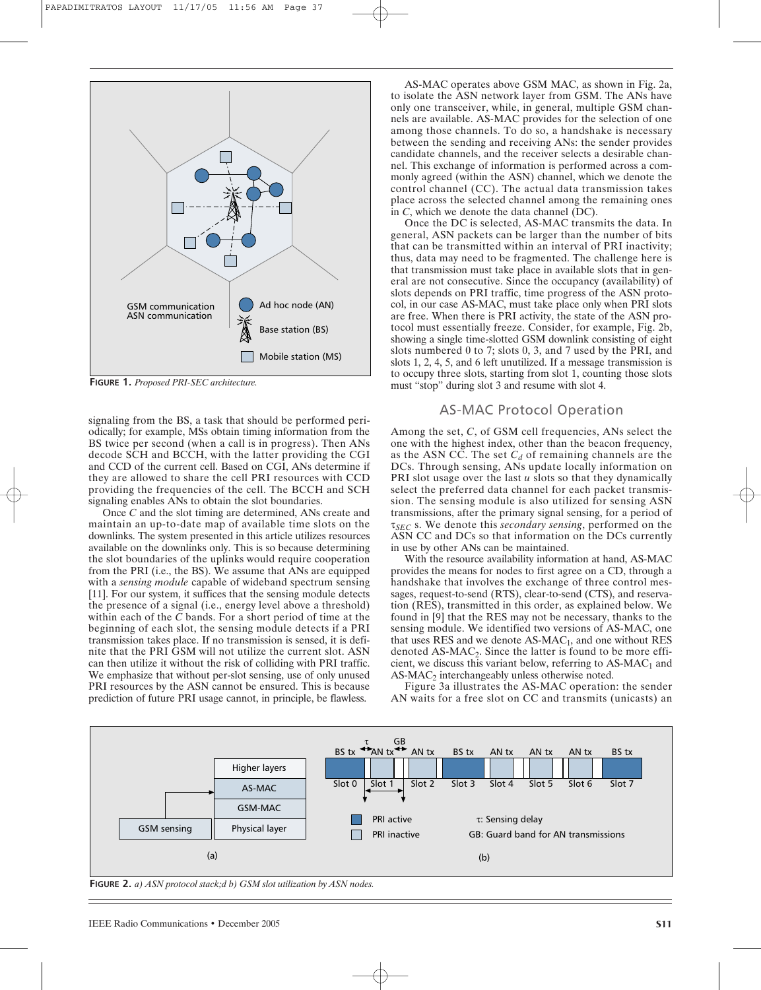

**FIGURE 1.** *Proposed PRI-SEC architecture.*

signaling from the BS, a task that should be performed periodically; for example, MSs obtain timing information from the BS twice per second (when a call is in progress). Then ANs decode SCH and BCCH, with the latter providing the CGI and CCD of the current cell. Based on CGI, ANs determine if they are allowed to share the cell PRI resources with CCD providing the frequencies of the cell. The BCCH and SCH signaling enables ANs to obtain the slot boundaries.

Once *C* and the slot timing are determined, ANs create and maintain an up-to-date map of available time slots on the downlinks. The system presented in this article utilizes resources available on the downlinks only. This is so because determining the slot boundaries of the uplinks would require cooperation from the PRI (i.e., the BS). We assume that ANs are equipped with a *sensing module* capable of wideband spectrum sensing [11]. For our system, it suffices that the sensing module detects the presence of a signal (i.e., energy level above a threshold) within each of the *C* bands. For a short period of time at the beginning of each slot, the sensing module detects if a PRI transmission takes place. If no transmission is sensed, it is definite that the PRI GSM will not utilize the current slot. ASN can then utilize it without the risk of colliding with PRI traffic. We emphasize that without per-slot sensing, use of only unused PRI resources by the ASN cannot be ensured. This is because prediction of future PRI usage cannot, in principle, be flawless.

AS-MAC operates above GSM MAC, as shown in Fig. 2a, to isolate the ASN network layer from GSM. The ANs have only one transceiver, while, in general, multiple GSM channels are available. AS-MAC provides for the selection of one among those channels. To do so, a handshake is necessary between the sending and receiving ANs: the sender provides candidate channels, and the receiver selects a desirable channel. This exchange of information is performed across a commonly agreed (within the ASN) channel, which we denote the control channel (CC). The actual data transmission takes place across the selected channel among the remaining ones in *C*, which we denote the data channel (DC).

Once the DC is selected, AS-MAC transmits the data. In general, ASN packets can be larger than the number of bits that can be transmitted within an interval of PRI inactivity; thus, data may need to be fragmented. The challenge here is that transmission must take place in available slots that in general are not consecutive. Since the occupancy (availability) of slots depends on PRI traffic, time progress of the ASN protocol, in our case AS-MAC, must take place only when PRI slots are free. When there is PRI activity, the state of the ASN protocol must essentially freeze. Consider, for example, Fig. 2b, showing a single time-slotted GSM downlink consisting of eight slots numbered 0 to 7; slots 0, 3, and 7 used by the PRI, and slots 1, 2, 4, 5, and 6 left unutilized. If a message transmission is to occupy three slots, starting from slot 1, counting those slots must "stop" during slot 3 and resume with slot 4.

## AS-MAC Protocol Operation

Among the set, *C*, of GSM cell frequencies, ANs select the one with the highest index, other than the beacon frequency, as the ASN CC. The set  $C_d$  of remaining channels are the DCs. Through sensing, ANs update locally information on PRI slot usage over the last *u* slots so that they dynamically select the preferred data channel for each packet transmission. The sensing module is also utilized for sensing ASN transmissions, after the primary signal sensing, for a period of τ*SEC* s. We denote this *secondary sensing*, performed on the ASN CC and DCs so that information on the DCs currently in use by other ANs can be maintained.

With the resource availability information at hand, AS-MAC provides the means for nodes to first agree on a CD, through a handshake that involves the exchange of three control messages, request-to-send (RTS), clear-to-send (CTS), and reservation (RES), transmitted in this order, as explained below. We found in [9] that the RES may not be necessary, thanks to the sensing module. We identified two versions of AS-MAC, one that uses RES and we denote AS-MAC<sub>1</sub>, and one without RES denoted  $AS-MAC_2$ . Since the latter is found to be more efficient, we discuss this variant below, referring to  $AS-MAC<sub>1</sub>$  and AS-MAC<sub>2</sub> interchangeably unless otherwise noted.

Figure 3a illustrates the AS-MAC operation: the sender AN waits for a free slot on CC and transmits (unicasts) an



**FIGURE 2.** *a) ASN protocol stack;d b) GSM slot utilization by ASN nodes.*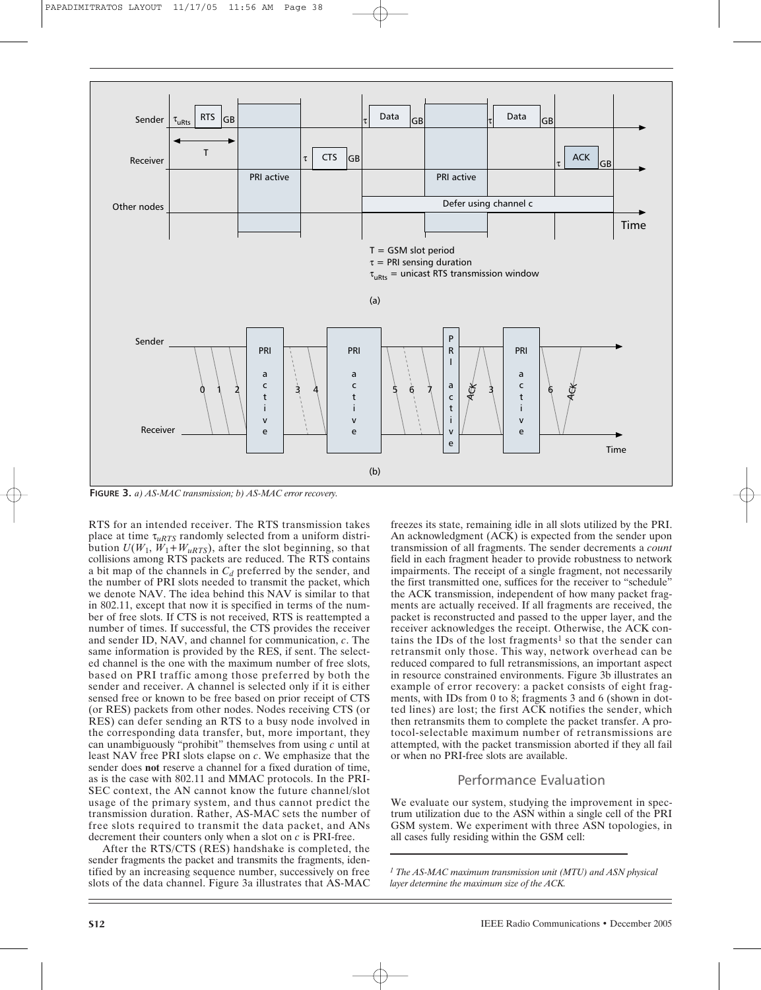

**FIGURE 3.** *a) AS-MAC transmission; b) AS-MAC error recovery.*

RTS for an intended receiver. The RTS transmission takes place at time τ*uRTS* randomly selected from a uniform distribution  $U(W_1, W_1 + W_{uRTS})$ , after the slot beginning, so that collisions among RTS packets are reduced. The RTS contains a bit map of the channels in *Cd* preferred by the sender, and the number of PRI slots needed to transmit the packet, which we denote NAV. The idea behind this NAV is similar to that in 802.11, except that now it is specified in terms of the number of free slots. If CTS is not received, RTS is reattempted a number of times. If successful, the CTS provides the receiver and sender ID, NAV, and channel for communication, *c*. The same information is provided by the RES, if sent. The selected channel is the one with the maximum number of free slots, based on PRI traffic among those preferred by both the sender and receiver. A channel is selected only if it is either sensed free or known to be free based on prior receipt of CTS (or RES) packets from other nodes. Nodes receiving CTS (or RES) can defer sending an RTS to a busy node involved in the corresponding data transfer, but, more important, they can unambiguously "prohibit" themselves from using *c* until at least NAV free PRI slots elapse on *c*. We emphasize that the sender does **not** reserve a channel for a fixed duration of time, as is the case with 802.11 and MMAC protocols. In the PRI-SEC context, the AN cannot know the future channel/slot usage of the primary system, and thus cannot predict the transmission duration. Rather, AS-MAC sets the number of free slots required to transmit the data packet, and ANs decrement their counters only when a slot on *c* is PRI-free.

After the RTS/CTS (RES) handshake is completed, the sender fragments the packet and transmits the fragments, identified by an increasing sequence number, successively on free slots of the data channel. Figure 3a illustrates that AS-MAC

freezes its state, remaining idle in all slots utilized by the PRI. An acknowledgment (ACK) is expected from the sender upon transmission of all fragments. The sender decrements a *count* field in each fragment header to provide robustness to network impairments. The receipt of a single fragment, not necessarily the first transmitted one, suffices for the receiver to "schedule" the ACK transmission, independent of how many packet fragments are actually received. If all fragments are received, the packet is reconstructed and passed to the upper layer, and the receiver acknowledges the receipt. Otherwise, the ACK contains the IDs of the lost fragments<sup>1</sup> so that the sender can retransmit only those. This way, network overhead can be reduced compared to full retransmissions, an important aspect in resource constrained environments. Figure 3b illustrates an example of error recovery: a packet consists of eight fragments, with IDs from 0 to 8; fragments 3 and 6 (shown in dotted lines) are lost; the first ACK notifies the sender, which then retransmits them to complete the packet transfer. A protocol-selectable maximum number of retransmissions are attempted, with the packet transmission aborted if they all fail or when no PRI-free slots are available.

## Performance Evaluation

We evaluate our system, studying the improvement in spectrum utilization due to the ASN within a single cell of the PRI GSM system. We experiment with three ASN topologies, in all cases fully residing within the GSM cell:

*<sup>1</sup> The AS-MAC maximum transmission unit (MTU) and ASN physical layer determine the maximum size of the ACK.*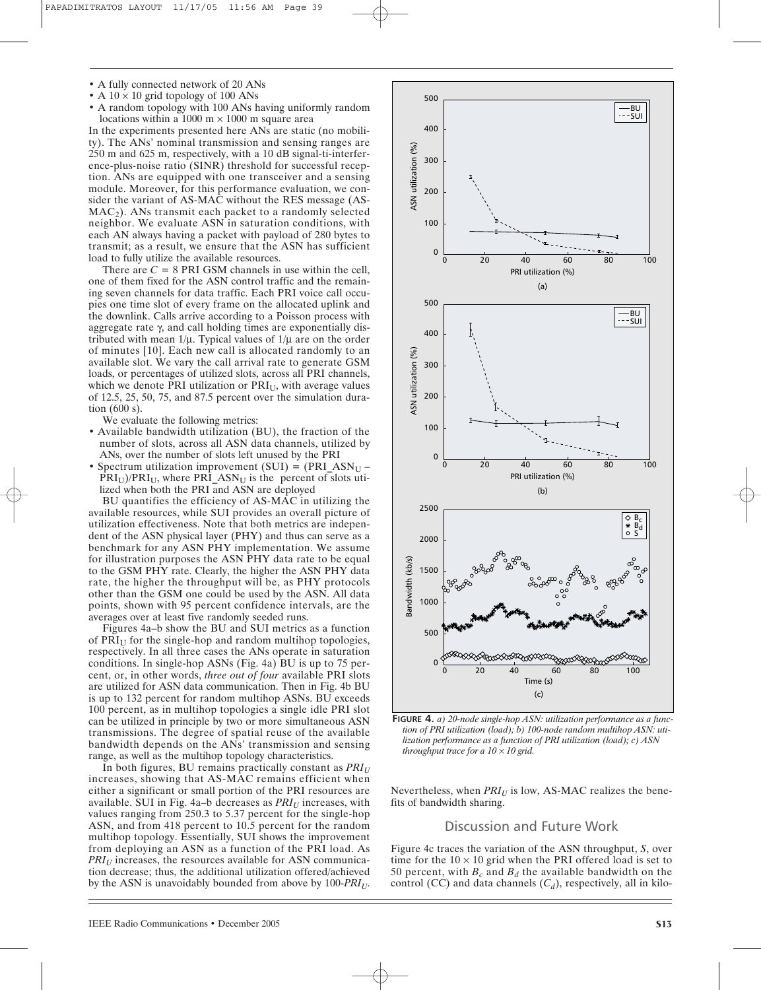- A fully connected network of 20 ANs
- A  $10 \times 10$  grid topology of 100 ANs
- A random topology with 100 ANs having uniformly random locations within a 1000 m  $\times$  1000 m square area

In the experiments presented here ANs are static (no mobility). The ANs' nominal transmission and sensing ranges are 250 m and 625 m, respectively, with a 10 dB signal-ti-interference-plus-noise ratio (SINR) threshold for successful reception. ANs are equipped with one transceiver and a sensing module. Moreover, for this performance evaluation, we consider the variant of AS-MAC without the RES message (AS- $MAC<sub>2</sub>$ ). ANs transmit each packet to a randomly selected neighbor. We evaluate ASN in saturation conditions, with each AN always having a packet with payload of 280 bytes to transmit; as a result, we ensure that the ASN has sufficient load to fully utilize the available resources.

There are  $C = 8$  PRI GSM channels in use within the cell, one of them fixed for the ASN control traffic and the remaining seven channels for data traffic. Each PRI voice call occupies one time slot of every frame on the allocated uplink and the downlink. Calls arrive according to a Poisson process with aggregate rate γ, and call holding times are exponentially distributed with mean  $1/\mu$ . Typical values of  $1/\mu$  are on the order of minutes [10]. Each new call is allocated randomly to an available slot. We vary the call arrival rate to generate GSM loads, or percentages of utilized slots, across all PRI channels, which we denote PRI utilization or  $\text{PRI}_{\text{II}}$ , with average values of 12.5, 25, 50, 75, and 87.5 percent over the simulation duration (600 s).

We evaluate the following metrics:

- Available bandwidth utilization (BU), the fraction of the number of slots, across all ASN data channels, utilized by ANs, over the number of slots left unused by the PRI
- Spectrum utilization improvement (SUI) = (PRI\_ASN<sub>U</sub>  $PRI_U$ )/ $PRI_U$ , where  $PRI\_ASN_U$  is the percent of slots utilized when both the PRI and ASN are deployed

BU quantifies the efficiency of AS-MAC in utilizing the available resources, while SUI provides an overall picture of utilization effectiveness. Note that both metrics are independent of the ASN physical layer (PHY) and thus can serve as a benchmark for any ASN PHY implementation. We assume for illustration purposes the ASN PHY data rate to be equal to the GSM PHY rate. Clearly, the higher the ASN PHY data rate, the higher the throughput will be, as PHY protocols other than the GSM one could be used by the ASN. All data points, shown with 95 percent confidence intervals, are the averages over at least five randomly seeded runs.

Figures 4a–b show the BU and SUI metrics as a function of PRI<sub>U</sub> for the single-hop and random multihop topologies, respectively. In all three cases the ANs operate in saturation conditions. In single-hop ASNs (Fig. 4a) BU is up to 75 percent, or, in other words, *three out of four* available PRI slots are utilized for ASN data communication. Then in Fig. 4b BU is up to 132 percent for random multihop ASNs. BU exceeds 100 percent, as in multihop topologies a single idle PRI slot can be utilized in principle by two or more simultaneous ASN transmissions. The degree of spatial reuse of the available bandwidth depends on the ANs' transmission and sensing range, as well as the multihop topology characteristics.

In both figures, BU remains practically constant as *PRIU* increases, showing that AS-MAC remains efficient when either a significant or small portion of the PRI resources are available. SUI in Fig. 4a–b decreases as *PRI<sub>U</sub>* increases, with values ranging from 250.3 to 5.37 percent for the single-hop ASN, and from 418 percent to 10.5 percent for the random multihop topology. Essentially, SUI shows the improvement from deploying an ASN as a function of the PRI load. As  $PRI_{U}$  increases, the resources available for ASN communication decrease; thus, the additional utilization offered/achieved by the ASN is unavoidably bounded from above by 100-*PRIU*.



**FIGURE 4.** *a) 20-node single-hop ASN: utilization performance as a function of PRI utilization (load); b) 100-node random multihop ASN: utilization performance as a function of PRI utilization (load); c) ASN throughput trace for a 10* × *10 grid.*

Nevertheless, when  $PRI_U$  is low, AS-MAC realizes the benefits of bandwidth sharing.

#### Discussion and Future Work

Figure 4c traces the variation of the ASN throughput, *S*, over time for the  $10 \times 10$  grid when the PRI offered load is set to 50 percent, with  $B_c$  and  $B_d$  the available bandwidth on the control (CC) and data channels  $(C_d)$ , respectively, all in kilo